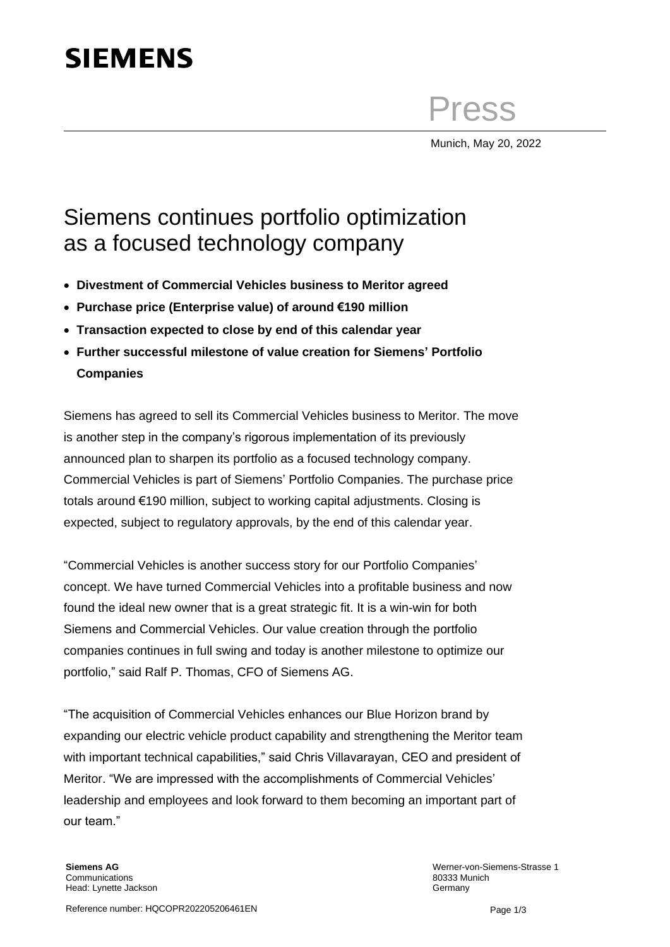## **SIEMENS**

Press

Munich, May 20, 2022

## Siemens continues portfolio optimization as a focused technology company

- **Divestment of Commercial Vehicles business to Meritor agreed**
- **Purchase price (Enterprise value) of around €190 million**
- **Transaction expected to close by end of this calendar year**
- **Further successful milestone of value creation for Siemens' Portfolio Companies**

Siemens has agreed to sell its Commercial Vehicles business to Meritor. The move is another step in the company's rigorous implementation of its previously announced plan to sharpen its portfolio as a focused technology company. Commercial Vehicles is part of Siemens' Portfolio Companies. The purchase price totals around €190 million, subject to working capital adjustments. Closing is expected, subject to regulatory approvals, by the end of this calendar year.

"Commercial Vehicles is another success story for our Portfolio Companies' concept. We have turned Commercial Vehicles into a profitable business and now found the ideal new owner that is a great strategic fit. It is a win-win for both Siemens and Commercial Vehicles. Our value creation through the portfolio companies continues in full swing and today is another milestone to optimize our portfolio," said Ralf P. Thomas, CFO of Siemens AG.

"The acquisition of Commercial Vehicles enhances our Blue Horizon brand by expanding our electric vehicle product capability and strengthening the Meritor team with important technical capabilities," said Chris Villavarayan, CEO and president of Meritor. "We are impressed with the accomplishments of Commercial Vehicles' leadership and employees and look forward to them becoming an important part of our team."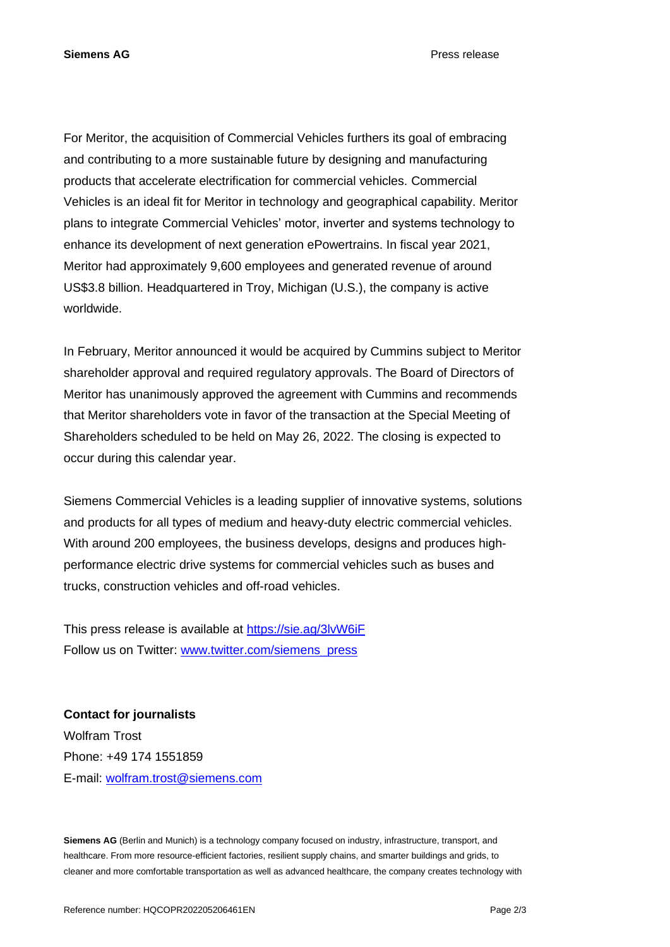**Siemens AG** Press release

For Meritor, the acquisition of Commercial Vehicles furthers its goal of embracing and contributing to a more sustainable future by designing and manufacturing products that accelerate electrification for commercial vehicles. Commercial Vehicles is an ideal fit for Meritor in technology and geographical capability. Meritor plans to integrate Commercial Vehicles' motor, inverter and systems technology to enhance its development of next generation ePowertrains. In fiscal year 2021, Meritor had approximately 9,600 employees and generated revenue of around US\$3.8 billion. Headquartered in Troy, Michigan (U.S.), the company is active worldwide.

In February, Meritor announced it would be acquired by Cummins subject to Meritor shareholder approval and required regulatory approvals. The Board of Directors of Meritor has unanimously approved the agreement with Cummins and recommends that Meritor shareholders vote in favor of the transaction at the Special Meeting of Shareholders scheduled to be held on May 26, 2022. The closing is expected to occur during this calendar year.

Siemens Commercial Vehicles is a leading supplier of innovative systems, solutions and products for all types of medium and heavy-duty electric commercial vehicles. With around 200 employees, the business develops, designs and produces highperformance electric drive systems for commercial vehicles such as buses and trucks, construction vehicles and off-road vehicles.

This press release is available at <https://sie.ag/3lvW6iF> Follow us on Twitter: [www.twitter.com/siemens\\_press](http://www.twitter.com/siemens_press)

**Contact for journalists** Wolfram Trost Phone: +49 174 1551859 E-mail: [wolfram.trost@siemens.com](mailto:wolfram.trost@siemens.com)

**Siemens AG** (Berlin and Munich) is a technology company focused on industry, infrastructure, transport, and healthcare. From more resource-efficient factories, resilient supply chains, and smarter buildings and grids, to cleaner and more comfortable transportation as well as advanced healthcare, the company creates technology with